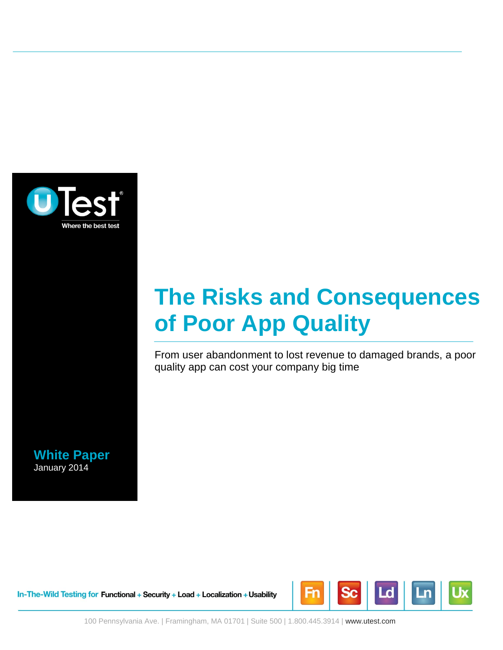

# **The Risks and Consequences of Poor App Quality**

From user abandonment to lost revenue to damaged brands, a poor quality app can cost your company big time

**White Paper** January 2014

In-The-Wild Testing for Functional + Security + Load + Localization + Usability



100 Pennsylvania Ave. | Framingham, MA 01701 | Suite 500 | 1.800.445.3914 | www.utest.com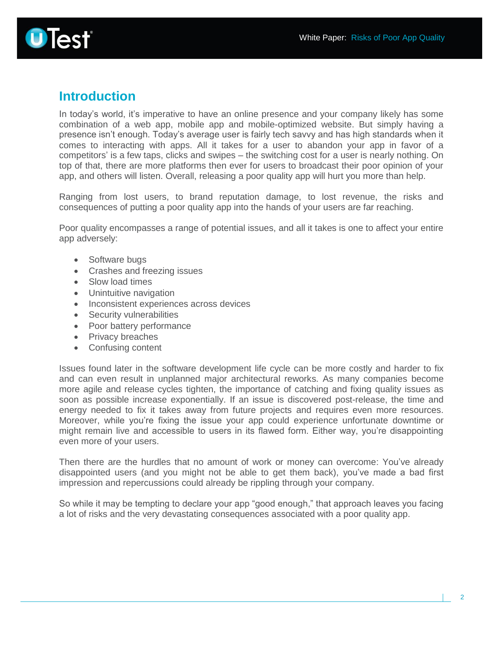

### **Introduction**

In today's world, it's imperative to have an online presence and your company likely has some combination of a web app, mobile app and mobile-optimized website. But simply having a presence isn't enough. Today's average user is fairly tech savvy and has high standards when it comes to interacting with apps. All it takes for a user to abandon your app in favor of a competitors' is a few taps, clicks and swipes – the switching cost for a user is nearly nothing. On top of that, there are more platforms then ever for users to broadcast their poor opinion of your app, and others will listen. Overall, releasing a poor quality app will hurt you more than help.

Ranging from lost users, to brand reputation damage, to lost revenue, the risks and consequences of putting a poor quality app into the hands of your users are far reaching.

Poor quality encompasses a range of potential issues, and all it takes is one to affect your entire app adversely:

- Software bugs
- Crashes and freezing issues
- Slow load times
- Unintuitive navigation
- Inconsistent experiences across devices
- Security vulnerabilities
- Poor battery performance
- Privacy breaches
- Confusing content

Issues found later in the software development life cycle can be more costly and harder to fix and can even result in unplanned major architectural reworks. As many companies become more agile and release cycles tighten, the importance of catching and fixing quality issues as soon as possible increase exponentially. If an issue is discovered post-release, the time and energy needed to fix it takes away from future projects and requires even more resources. Moreover, while you're fixing the issue your app could experience unfortunate downtime or might remain live and accessible to users in its flawed form. Either way, you're disappointing even more of your users.

Then there are the hurdles that no amount of work or money can overcome: You've already disappointed users (and you might not be able to get them back), you've made a bad first impression and repercussions could already be rippling through your company.

So while it may be tempting to declare your app "good enough," that approach leaves you facing a lot of risks and the very devastating consequences associated with a poor quality app.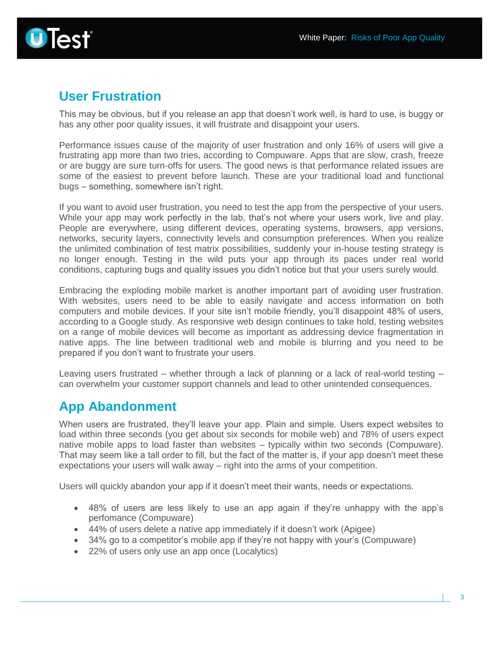

### **User Frustration**

This may be obvious, but if you release an app that doesn't work well, is hard to use, is buggy or has any other poor quality issues, it will frustrate and disappoint your users.

Performance issues cause of the majority of user frustration and only 16% of users will give a frustrating app more than two tries, according to Compuware. Apps that are slow, crash, freeze or are buggy are sure turn-offs for users. The good news is that performance related issues are some of the easiest to prevent before launch. These are your traditional load and functional bugs – something, somewhere isn't right.

If you want to avoid user frustration, you need to test the app from the perspective of your users. While your app may work perfectly in the lab, that's not where your users work, live and play. People are everywhere, using different devices, operating systems, browsers, app versions, networks, security layers, connectivity levels and consumption preferences. When you realize the unlimited combination of test matrix possibilities, suddenly your in-house testing strategy is no longer enough. Testing in the wild puts your app through its paces under real world conditions, capturing bugs and quality issues you didn't notice but that your users surely would.

Embracing the exploding mobile market is another important part of avoiding user frustration. With websites, users need to be able to easily navigate and access information on both computers and mobile devices. If your site isn't mobile friendly, you'll disappoint 48% of users, according to a Google study. As responsive web design continues to take hold, testing websites on a range of mobile devices will become as important as addressing device fragmentation in native apps. The line between traditional web and mobile is blurring and you need to be prepared if you don't want to frustrate your users.

Leaving users frustrated – whether through a lack of planning or a lack of real-world testing – can overwhelm your customer support channels and lead to other unintended consequences.

# **App Abandonment**

When users are frustrated, they'll leave your app. Plain and simple. Users expect websites to load within three seconds (you get about six seconds for mobile web) and 78% of users expect native mobile apps to load faster than websites – typically within two seconds (Compuware). That may seem like a tall order to fill, but the fact of the matter is, if your app doesn't meet these expectations your users will walk away – right into the arms of your competition.

Users will quickly abandon your app if it doesn't meet their wants, needs or expectations.

- 48% of users are less likely to use an app again if they're unhappy with the app's perfomance (Compuware)
- 44% of users delete a native app immediately if it doesn't work (Apigee)
- 34% go to a competitor's mobile app if they're not happy with your's (Compuware)
- 22% of users only use an app once (Localytics)

3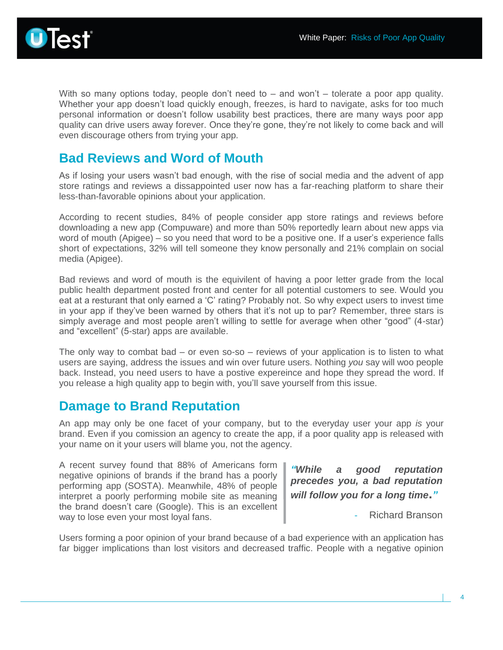

With so many options today, people don't need to – and won't – tolerate a poor app quality. Whether your app doesn't load quickly enough, freezes, is hard to navigate, asks for too much personal information or doesn't follow usability best practices, there are many ways poor app quality can drive users away forever. Once they're gone, they're not likely to come back and will even discourage others from trying your app.

### **Bad Reviews and Word of Mouth**

As if losing your users wasn't bad enough, with the rise of social media and the advent of app store ratings and reviews a dissappointed user now has a far-reaching platform to share their less-than-favorable opinions about your application.

According to recent studies, 84% of people consider app store ratings and reviews before downloading a new app (Compuware) and more than 50% reportedly learn about new apps via word of mouth (Apigee) – so you need that word to be a positive one. If a user's experience falls short of expectations, 32% will tell someone they know personally and 21% complain on social media (Apigee).

Bad reviews and word of mouth is the equivilent of having a poor letter grade from the local public health department posted front and center for all potential customers to see. Would you eat at a resturant that only earned a 'C' rating? Probably not. So why expect users to invest time in your app if they've been warned by others that it's not up to par? Remember, three stars is simply average and most people aren't willing to settle for average when other "good" (4-star) and "excellent" (5-star) apps are available.

The only way to combat bad  $-$  or even so-so  $-$  reviews of your application is to listen to what users are saying, address the issues and win over future users. Nothing *you* say will woo people back. Instead, you need users to have a postive expereince and hope they spread the word. If you release a high quality app to begin with, you'll save yourself from this issue.

#### **Damage to Brand Reputation**

An app may only be one facet of your company, but to the everyday user your app *is* your brand. Even if you comission an agency to create the app, if a poor quality app is released with your name on it your users will blame you, not the agency.

A recent survey found that 88% of Americans form negative opinions of brands if the brand has a poorly performing app (SOSTA). Meanwhile, 48% of people interpret a poorly performing mobile site as meaning the brand doesn't care (Google). This is an excellent way to lose even your most loyal fans.

*"While a good reputation precedes you, a bad reputation will follow you for a long time***.***"*

- Richard Branson

Users forming a poor opinion of your brand because of a bad experience with an application has far bigger implications than lost visitors and decreased traffic. People with a negative opinion

4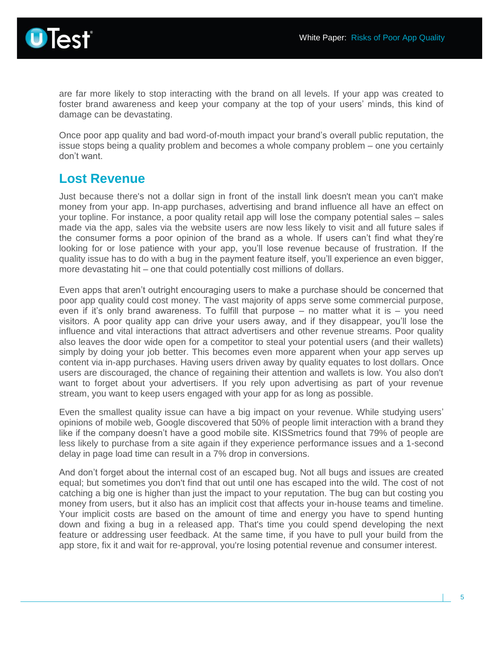

are far more likely to stop interacting with the brand on all levels. If your app was created to foster brand awareness and keep your company at the top of your users' minds, this kind of damage can be devastating.

Once poor app quality and bad word-of-mouth impact your brand's overall public reputation, the issue stops being a quality problem and becomes a whole company problem – one you certainly don't want.

#### **Lost Revenue**

Just because there's not a dollar sign in front of the install link doesn't mean you can't make money from your app. In-app purchases, advertising and brand influence all have an effect on your topline. For instance, a poor quality retail app will lose the company potential sales – sales made via the app, sales via the website users are now less likely to visit and all future sales if the consumer forms a poor opinion of the brand as a whole. If users can't find what they're looking for or lose patience with your app, you'll lose revenue because of frustration. If the quality issue has to do with a bug in the payment feature itself, you'll experience an even bigger, more devastating hit – one that could potentially cost millions of dollars.

Even apps that aren't outright encouraging users to make a purchase should be concerned that poor app quality could cost money. The vast majority of apps serve some commercial purpose, even if it's only brand awareness. To fulfill that purpose  $-$  no matter what it is  $-$  you need visitors. A poor quality app can drive your users away, and if they disappear, you'll lose the influence and vital interactions that attract advertisers and other revenue streams. Poor quality also leaves the door wide open for a competitor to steal your potential users (and their wallets) simply by doing your job better. This becomes even more apparent when your app serves up content via in-app purchases. Having users driven away by quality equates to lost dollars. Once users are discouraged, the chance of regaining their attention and wallets is low. You also don't want to forget about your advertisers. If you rely upon advertising as part of your revenue stream, you want to keep users engaged with your app for as long as possible.

Even the smallest quality issue can have a big impact on your revenue. While studying users' opinions of mobile web, Google discovered that 50% of people limit interaction with a brand they like if the company doesn't have a good mobile site. KISSmetrics found that 79% of people are less likely to purchase from a site again if they experience performance issues and a 1-second delay in page load time can result in a 7% drop in conversions.

And don't forget about the internal cost of an escaped bug. Not all bugs and issues are created equal; but sometimes you don't find that out until one has escaped into the wild. The cost of not catching a big one is higher than just the impact to your reputation. The bug can but costing you money from users, but it also has an implicit cost that affects your in-house teams and timeline. Your implicit costs are based on the amount of time and energy you have to spend hunting down and fixing a bug in a released app. That's time you could spend developing the next feature or addressing user feedback. At the same time, if you have to pull your build from the app store, fix it and wait for re-approval, you're losing potential revenue and consumer interest.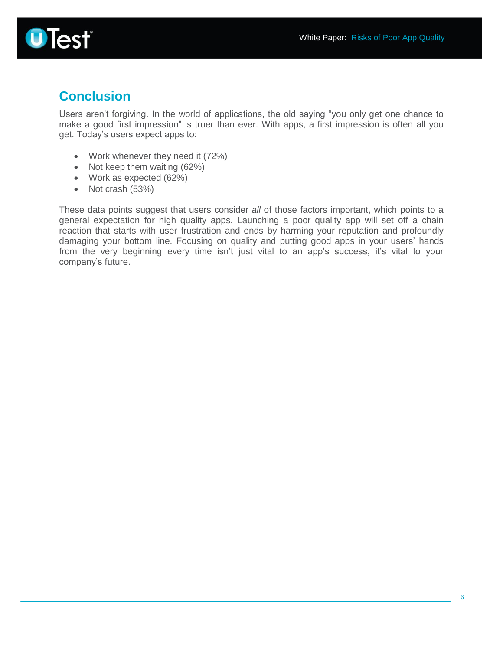

# **Conclusion**

Users aren't forgiving. In the world of applications, the old saying "you only get one chance to make a good first impression" is truer than ever. With apps, a first impression is often all you get. Today's users expect apps to:

- Work whenever they need it (72%)
- Not keep them waiting (62%)
- Work as expected (62%)
- Not crash (53%)

These data points suggest that users consider *all* of those factors important, which points to a general expectation for high quality apps. Launching a poor quality app will set off a chain reaction that starts with user frustration and ends by harming your reputation and profoundly damaging your bottom line. Focusing on quality and putting good apps in your users' hands from the very beginning every time isn't just vital to an app's success, it's vital to your company's future.